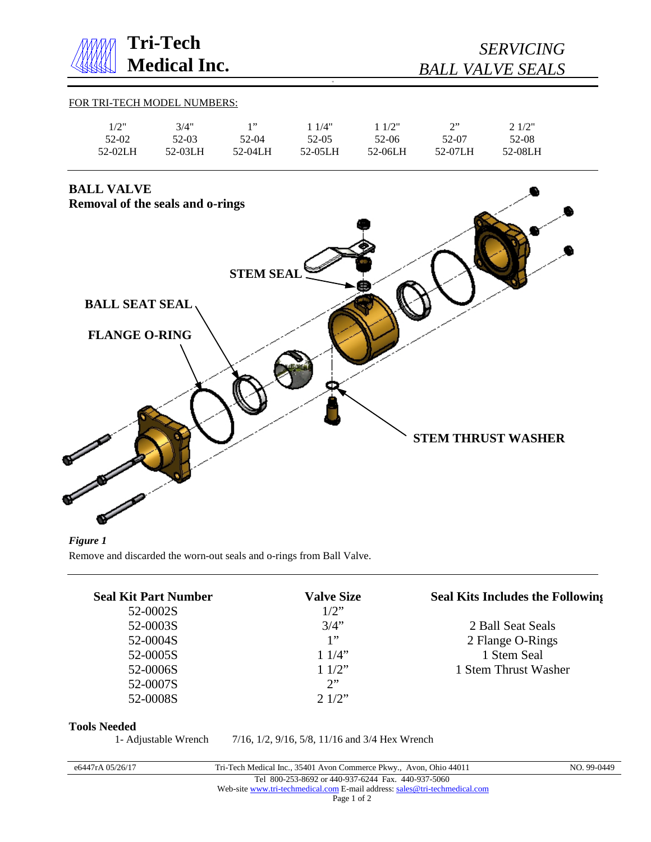

*Figure 1* Remove and discarded the worn-out seals and o-rings from Ball Valve.

| <b>Seal Kit Part Number</b> | <b>Valve Size</b> | <b>Seal Kits Includes the Following</b> |
|-----------------------------|-------------------|-----------------------------------------|
| 52-0002S                    | $1/2$ "           |                                         |
| 52-0003S                    | 3/4"              | 2 Ball Seat Seals                       |
| 52-0004S                    | 1"                | 2 Flange O-Rings                        |
| 52-0005S                    | 11/4"             | 1 Stem Seal                             |
| 52-0006S                    | 11/2"             | 1 Stem Thrust Washer                    |
| 52-0007S                    | 2                 |                                         |
| 52-0008S                    | $2.1/2$ "         |                                         |

## **Tools Needed**

1- Adjustable Wrench 7/16, 1/2, 9/16, 5/8, 11/16 and 3/4 Hex Wrench